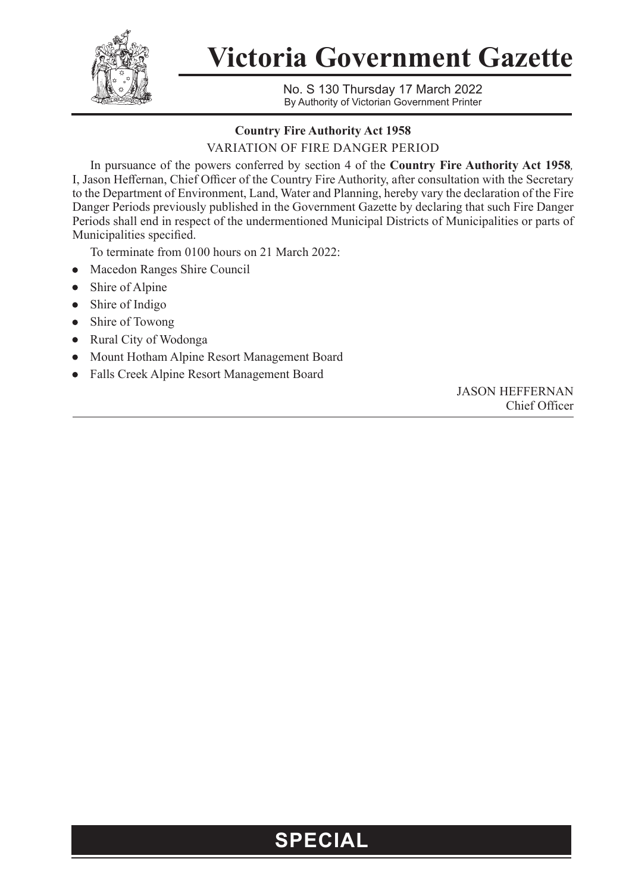

**Victoria Government Gazette**

No. S 130 Thursday 17 March 2022 By Authority of Victorian Government Printer

## **Country Fire Authority Act 1958**

VARIATION OF FIRE DANGER PERIOD

In pursuance of the powers conferred by section 4 of the **Country Fire Authority Act 1958***,* I, Jason Heffernan, Chief Officer of the Country Fire Authority, after consultation with the Secretary to the Department of Environment, Land, Water and Planning, hereby vary the declaration of the Fire Danger Periods previously published in the Government Gazette by declaring that such Fire Danger Periods shall end in respect of the undermentioned Municipal Districts of Municipalities or parts of Municipalities specified.

To terminate from 0100 hours on 21 March 2022:

- Macedon Ranges Shire Council
- Shire of Alpine
- Shire of Indigo
- Shire of Towong
- Rural City of Wodonga
- Mount Hotham Alpine Resort Management Board
- Falls Creek Alpine Resort Management Board

JASON HEFFERNAN Chief Officer

## **SPECIAL**